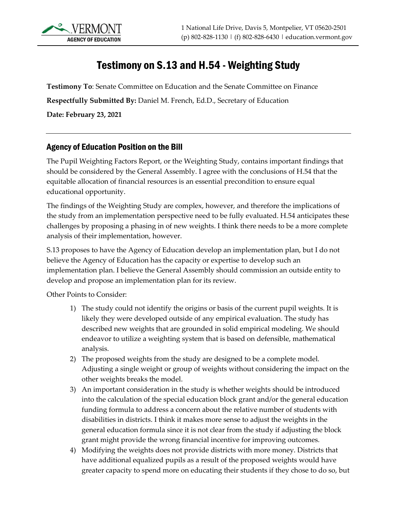

## Testimony on S.13 and H.54 - Weighting Study

**Testimony To**: Senate Committee on Education and the Senate Committee on Finance

**Respectfully Submitted By:** Daniel M. French, Ed.D., Secretary of Education

**Date: February 23, 2021**

## Agency of Education Position on the Bill

The Pupil Weighting Factors Report, or the Weighting Study, contains important findings that should be considered by the General Assembly. I agree with the conclusions of H.54 that the equitable allocation of financial resources is an essential precondition to ensure equal educational opportunity.

The findings of the Weighting Study are complex, however, and therefore the implications of the study from an implementation perspective need to be fully evaluated. H.54 anticipates these challenges by proposing a phasing in of new weights. I think there needs to be a more complete analysis of their implementation, however.

S.13 proposes to have the Agency of Education develop an implementation plan, but I do not believe the Agency of Education has the capacity or expertise to develop such an implementation plan. I believe the General Assembly should commission an outside entity to develop and propose an implementation plan for its review.

Other Points to Consider:

- 1) The study could not identify the origins or basis of the current pupil weights. It is likely they were developed outside of any empirical evaluation. The study has described new weights that are grounded in solid empirical modeling. We should endeavor to utilize a weighting system that is based on defensible, mathematical analysis.
- 2) The proposed weights from the study are designed to be a complete model. Adjusting a single weight or group of weights without considering the impact on the other weights breaks the model.
- 3) An important consideration in the study is whether weights should be introduced into the calculation of the special education block grant and/or the general education funding formula to address a concern about the relative number of students with disabilities in districts. I think it makes more sense to adjust the weights in the general education formula since it is not clear from the study if adjusting the block grant might provide the wrong financial incentive for improving outcomes.
- 4) Modifying the weights does not provide districts with more money. Districts that have additional equalized pupils as a result of the proposed weights would have greater capacity to spend more on educating their students if they chose to do so, but